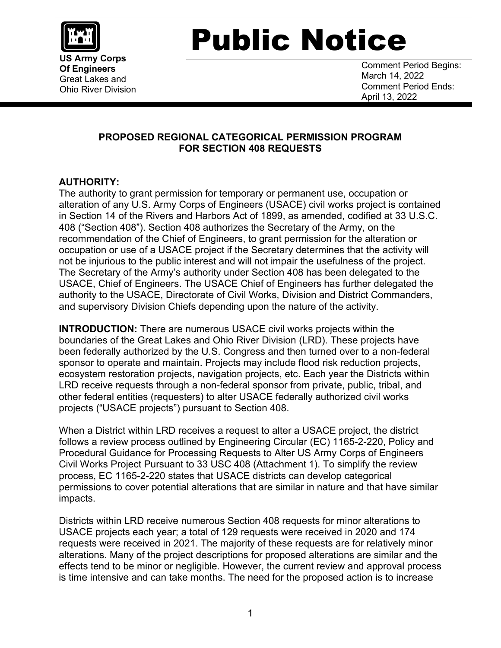

**US Army Corps Of Engineers** Great Lakes and Ohio River Division

## Public Notice

Comment Period Begins: March 14, 2022 Comment Period Ends: April 13, 2022

## **PROPOSED REGIONAL CATEGORICAL PERMISSION PROGRAM FOR SECTION 408 REQUESTS**

## **AUTHORITY:**

The authority to grant permission for temporary or permanent use, occupation or alteration of any U.S. Army Corps of Engineers (USACE) civil works project is contained in Section 14 of the Rivers and Harbors Act of 1899, as amended, codified at 33 U.S.C. 408 ("Section 408"). Section 408 authorizes the Secretary of the Army, on the recommendation of the Chief of Engineers, to grant permission for the alteration or occupation or use of a USACE project if the Secretary determines that the activity will not be injurious to the public interest and will not impair the usefulness of the project. The Secretary of the Army's authority under Section 408 has been delegated to the USACE, Chief of Engineers. The USACE Chief of Engineers has further delegated the authority to the USACE, Directorate of Civil Works, Division and District Commanders, and supervisory Division Chiefs depending upon the nature of the activity.

**INTRODUCTION:** There are numerous USACE civil works projects within the boundaries of the Great Lakes and Ohio River Division (LRD). These projects have been federally authorized by the U.S. Congress and then turned over to a non-federal sponsor to operate and maintain. Projects may include flood risk reduction projects, ecosystem restoration projects, navigation projects, etc. Each year the Districts within LRD receive requests through a non-federal sponsor from private, public, tribal, and other federal entities (requesters) to alter USACE federally authorized civil works projects ("USACE projects") pursuant to Section 408.

When a District within LRD receives a request to alter a USACE project, the district follows a review process outlined by Engineering Circular (EC) 1165-2-220, Policy and Procedural Guidance for Processing Requests to Alter US Army Corps of Engineers Civil Works Project Pursuant to 33 USC 408 (Attachment 1). To simplify the review process, EC 1165-2-220 states that USACE districts can develop categorical permissions to cover potential alterations that are similar in nature and that have similar impacts.

Districts within LRD receive numerous Section 408 requests for minor alterations to USACE projects each year; a total of 129 requests were received in 2020 and 174 requests were received in 2021. The majority of these requests are for relatively minor alterations. Many of the project descriptions for proposed alterations are similar and the effects tend to be minor or negligible. However, the current review and approval process is time intensive and can take months. The need for the proposed action is to increase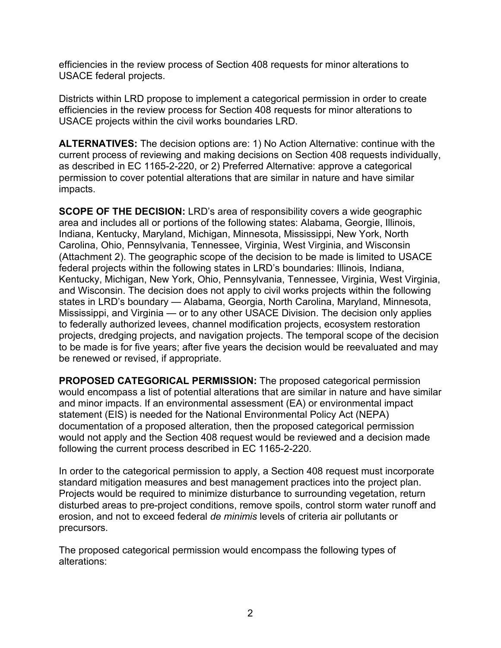efficiencies in the review process of Section 408 requests for minor alterations to USACE federal projects.

Districts within LRD propose to implement a categorical permission in order to create efficiencies in the review process for Section 408 requests for minor alterations to USACE projects within the civil works boundaries LRD.

**ALTERNATIVES:** The decision options are: 1) No Action Alternative: continue with the current process of reviewing and making decisions on Section 408 requests individually, as described in EC 1165-2-220, or 2) Preferred Alternative: approve a categorical permission to cover potential alterations that are similar in nature and have similar impacts.

**SCOPE OF THE DECISION:** LRD's area of responsibility covers a wide geographic area and includes all or portions of the following states: Alabama, Georgie, Illinois, Indiana, Kentucky, Maryland, Michigan, Minnesota, Mississippi, New York, North Carolina, Ohio, Pennsylvania, Tennessee, Virginia, West Virginia, and Wisconsin (Attachment 2). The geographic scope of the decision to be made is limited to USACE federal projects within the following states in LRD's boundaries: Illinois, Indiana, Kentucky, Michigan, New York, Ohio, Pennsylvania, Tennessee, Virginia, West Virginia, and Wisconsin. The decision does not apply to civil works projects within the following states in LRD's boundary — Alabama, Georgia, North Carolina, Maryland, Minnesota, Mississippi, and Virginia — or to any other USACE Division. The decision only applies to federally authorized levees, channel modification projects, ecosystem restoration projects, dredging projects, and navigation projects. The temporal scope of the decision to be made is for five years; after five years the decision would be reevaluated and may be renewed or revised, if appropriate.

**PROPOSED CATEGORICAL PERMISSION:** The proposed categorical permission would encompass a list of potential alterations that are similar in nature and have similar and minor impacts. If an environmental assessment (EA) or environmental impact statement (EIS) is needed for the National Environmental Policy Act (NEPA) documentation of a proposed alteration, then the proposed categorical permission would not apply and the Section 408 request would be reviewed and a decision made following the current process described in EC 1165-2-220.

In order to the categorical permission to apply, a Section 408 request must incorporate standard mitigation measures and best management practices into the project plan. Projects would be required to minimize disturbance to surrounding vegetation, return disturbed areas to pre-project conditions, remove spoils, control storm water runoff and erosion, and not to exceed federal *de minimis* levels of criteria air pollutants or precursors.

The proposed categorical permission would encompass the following types of alterations: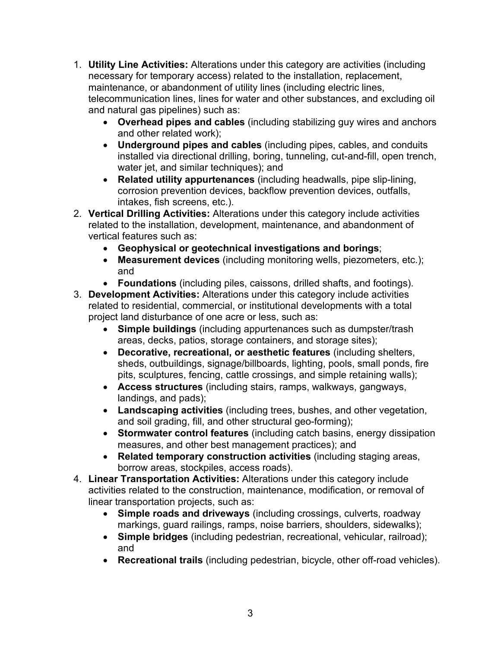- 1. **Utility Line Activities:** Alterations under this category are activities (including necessary for temporary access) related to the installation, replacement, maintenance, or abandonment of utility lines (including electric lines, telecommunication lines, lines for water and other substances, and excluding oil and natural gas pipelines) such as:
	- **Overhead pipes and cables** (including stabilizing guy wires and anchors and other related work);
	- **Underground pipes and cables** (including pipes, cables, and conduits installed via directional drilling, boring, tunneling, cut-and-fill, open trench, water jet, and similar techniques); and
	- **Related utility appurtenances** (including headwalls, pipe slip-lining, corrosion prevention devices, backflow prevention devices, outfalls, intakes, fish screens, etc.).
- 2. **Vertical Drilling Activities:** Alterations under this category include activities related to the installation, development, maintenance, and abandonment of vertical features such as:
	- **Geophysical or geotechnical investigations and borings**;
	- **Measurement devices** (including monitoring wells, piezometers, etc.); and
	- **Foundations** (including piles, caissons, drilled shafts, and footings).
- 3. **Development Activities:** Alterations under this category include activities related to residential, commercial, or institutional developments with a total project land disturbance of one acre or less, such as:
	- **Simple buildings** (including appurtenances such as dumpster/trash areas, decks, patios, storage containers, and storage sites);
	- **Decorative, recreational, or aesthetic features** (including shelters, sheds, outbuildings, signage/billboards, lighting, pools, small ponds, fire pits, sculptures, fencing, cattle crossings, and simple retaining walls);
	- **Access structures** (including stairs, ramps, walkways, gangways, landings, and pads);
	- **Landscaping activities** (including trees, bushes, and other vegetation, and soil grading, fill, and other structural geo-forming);
	- **Stormwater control features** (including catch basins, energy dissipation measures, and other best management practices); and
	- **Related temporary construction activities** (including staging areas, borrow areas, stockpiles, access roads).
- 4. **Linear Transportation Activities:** Alterations under this category include activities related to the construction, maintenance, modification, or removal of linear transportation projects, such as:
	- **Simple roads and driveways** (including crossings, culverts, roadway markings, guard railings, ramps, noise barriers, shoulders, sidewalks);
	- **Simple bridges** (including pedestrian, recreational, vehicular, railroad); and
	- **Recreational trails** (including pedestrian, bicycle, other off-road vehicles).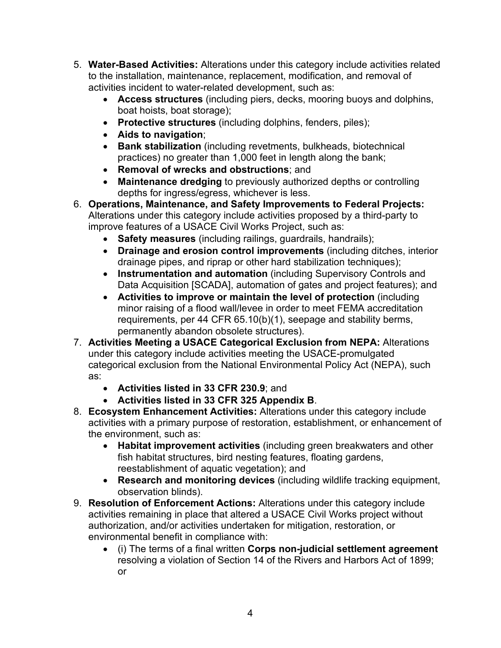- 5. **Water-Based Activities:** Alterations under this category include activities related to the installation, maintenance, replacement, modification, and removal of activities incident to water-related development, such as:
	- **Access structures** (including piers, decks, mooring buoys and dolphins, boat hoists, boat storage);
	- **Protective structures** (including dolphins, fenders, piles);
	- **Aids to navigation**;
	- **Bank stabilization** (including revetments, bulkheads, biotechnical practices) no greater than 1,000 feet in length along the bank;
	- **Removal of wrecks and obstructions**; and
	- **Maintenance dredging** to previously authorized depths or controlling depths for ingress/egress, whichever is less.
- 6. **Operations, Maintenance, and Safety Improvements to Federal Projects:** Alterations under this category include activities proposed by a third-party to improve features of a USACE Civil Works Project, such as:
	- **Safety measures** (including railings, guardrails, handrails);
	- **Drainage and erosion control improvements** (including ditches, interior drainage pipes, and riprap or other hard stabilization techniques);
	- **Instrumentation and automation** (including Supervisory Controls and Data Acquisition [SCADA], automation of gates and project features); and
	- **Activities to improve or maintain the level of protection** (including minor raising of a flood wall/levee in order to meet FEMA accreditation requirements, per 44 CFR 65.10(b)(1), seepage and stability berms, permanently abandon obsolete structures).
- 7. **Activities Meeting a USACE Categorical Exclusion from NEPA:** Alterations under this category include activities meeting the USACE-promulgated categorical exclusion from the National Environmental Policy Act (NEPA), such as:
	- **Activities listed in 33 CFR 230.9**; and
	- **Activities listed in 33 CFR 325 Appendix B**.
- 8. **Ecosystem Enhancement Activities:** Alterations under this category include activities with a primary purpose of restoration, establishment, or enhancement of the environment, such as:
	- **Habitat improvement activities** (including green breakwaters and other fish habitat structures, bird nesting features, floating gardens, reestablishment of aquatic vegetation); and
	- **Research and monitoring devices** (including wildlife tracking equipment, observation blinds).
- 9. **Resolution of Enforcement Actions:** Alterations under this category include activities remaining in place that altered a USACE Civil Works project without authorization, and/or activities undertaken for mitigation, restoration, or environmental benefit in compliance with:
	- (i) The terms of a final written **Corps non-judicial settlement agreement** resolving a violation of Section 14 of the Rivers and Harbors Act of 1899; or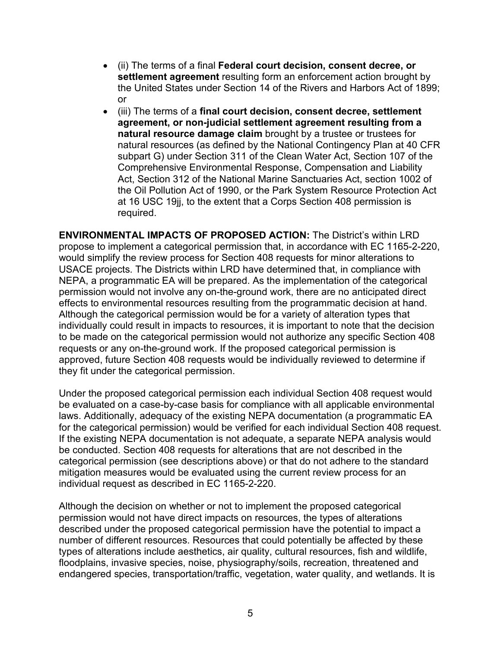- (ii) The terms of a final **Federal court decision, consent decree, or settlement agreement** resulting form an enforcement action brought by the United States under Section 14 of the Rivers and Harbors Act of 1899; or
- (iii) The terms of a **final court decision, consent decree, settlement agreement, or non-judicial settlement agreement resulting from a natural resource damage claim** brought by a trustee or trustees for natural resources (as defined by the National Contingency Plan at 40 CFR subpart G) under Section 311 of the Clean Water Act, Section 107 of the Comprehensive Environmental Response, Compensation and Liability Act, Section 312 of the National Marine Sanctuaries Act, section 1002 of the Oil Pollution Act of 1990, or the Park System Resource Protection Act at 16 USC 19jj, to the extent that a Corps Section 408 permission is required.

**ENVIRONMENTAL IMPACTS OF PROPOSED ACTION:** The District's within LRD propose to implement a categorical permission that, in accordance with EC 1165-2-220, would simplify the review process for Section 408 requests for minor alterations to USACE projects. The Districts within LRD have determined that, in compliance with NEPA, a programmatic EA will be prepared. As the implementation of the categorical permission would not involve any on-the-ground work, there are no anticipated direct effects to environmental resources resulting from the programmatic decision at hand. Although the categorical permission would be for a variety of alteration types that individually could result in impacts to resources, it is important to note that the decision to be made on the categorical permission would not authorize any specific Section 408 requests or any on-the-ground work. If the proposed categorical permission is approved, future Section 408 requests would be individually reviewed to determine if they fit under the categorical permission.

Under the proposed categorical permission each individual Section 408 request would be evaluated on a case-by-case basis for compliance with all applicable environmental laws. Additionally, adequacy of the existing NEPA documentation (a programmatic EA for the categorical permission) would be verified for each individual Section 408 request. If the existing NEPA documentation is not adequate, a separate NEPA analysis would be conducted. Section 408 requests for alterations that are not described in the categorical permission (see descriptions above) or that do not adhere to the standard mitigation measures would be evaluated using the current review process for an individual request as described in EC 1165-2-220.

Although the decision on whether or not to implement the proposed categorical permission would not have direct impacts on resources, the types of alterations described under the proposed categorical permission have the potential to impact a number of different resources. Resources that could potentially be affected by these types of alterations include aesthetics, air quality, cultural resources, fish and wildlife, floodplains, invasive species, noise, physiography/soils, recreation, threatened and endangered species, transportation/traffic, vegetation, water quality, and wetlands. It is